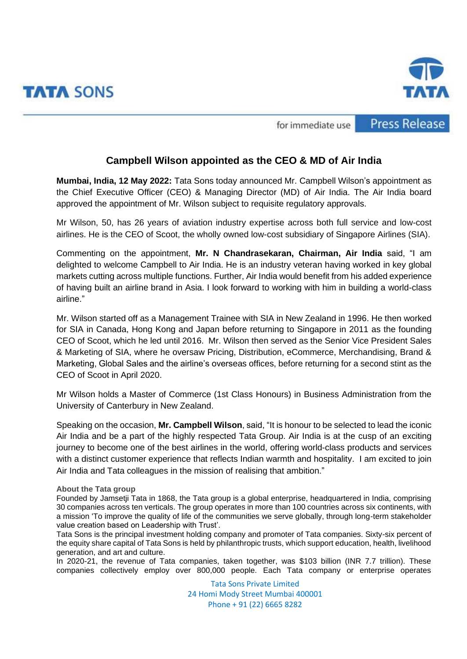



**Press Release** 

for immediate use

## **Campbell Wilson appointed as the CEO & MD of Air India**

**Mumbai, India, 12 May 2022:** Tata Sons today announced Mr. Campbell Wilson's appointment as the Chief Executive Officer (CEO) & Managing Director (MD) of Air India. The Air India board approved the appointment of Mr. Wilson subject to requisite regulatory approvals.

Mr Wilson, 50, has 26 years of aviation industry expertise across both full service and low-cost airlines. He is the CEO of Scoot, the wholly owned low-cost subsidiary of Singapore Airlines (SIA).

Commenting on the appointment, **Mr. N Chandrasekaran, Chairman, Air India** said, "I am delighted to welcome Campbell to Air India. He is an industry veteran having worked in key global markets cutting across multiple functions. Further, Air India would benefit from his added experience of having built an airline brand in Asia. I look forward to working with him in building a world-class airline."

Mr. Wilson started off as a Management Trainee with SIA in New Zealand in 1996. He then worked for SIA in Canada, Hong Kong and Japan before returning to Singapore in 2011 as the founding CEO of Scoot, which he led until 2016. Mr. Wilson then served as the Senior Vice President Sales & Marketing of SIA, where he oversaw Pricing, Distribution, eCommerce, Merchandising, Brand & Marketing, Global Sales and the airline's overseas offices, before returning for a second stint as the CEO of Scoot in April 2020.

Mr Wilson holds a Master of Commerce (1st Class Honours) in Business Administration from the University of Canterbury in New Zealand.

Speaking on the occasion, **Mr. Campbell Wilson**, said, "It is honour to be selected to lead the iconic Air India and be a part of the highly respected Tata Group. Air India is at the cusp of an exciting journey to become one of the best airlines in the world, offering world-class products and services with a distinct customer experience that reflects Indian warmth and hospitality. I am excited to join Air India and Tata colleagues in the mission of realising that ambition."

## **About the Tata group**

Founded by Jamsetji Tata in 1868, the [Tata group](https://www.tata.com/about) is a global enterprise, headquartered in India, comprising 30 companies across ten verticals. The group operates in more than 100 countries across six continents, with a mission 'To improve the quality of life of the communities we serve globally, through long-term stakeholder value creation based on Leadership with Trust'.

Tata Sons is the principal investment holding company and promoter of Tata companies. Sixty-six percent of the equity share capital of Tata Sons is held by philanthropic trusts, which support education, health, livelihood generation, and art and culture.

In 2020-21, the revenue of Tata companies, taken together, was \$103 billion (INR 7.7 trillion). These companies collectively employ over 800,000 people. Each Tata company or enterprise operates

> Tata Sons Private Limited 24 Homi Mody Street Mumbai 400001 Phone + 91 (22) 6665 8282